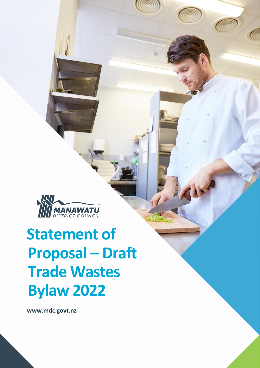

# **Statement of Proposal – Draft Trade Wastes Bylaw 2022**

**[www.mdc.govt.nz](http://www.mdc.govt.nz/)**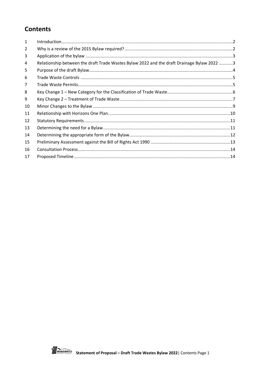# **Contents**

| 1  |                                                                                            |  |
|----|--------------------------------------------------------------------------------------------|--|
| 2  |                                                                                            |  |
| 3  |                                                                                            |  |
| 4  | Relationship between the draft Trade Wastes Bylaw 2022 and the draft Drainage Bylaw 2022 3 |  |
| 5  |                                                                                            |  |
| 6  |                                                                                            |  |
| 7  |                                                                                            |  |
| 8  |                                                                                            |  |
| 9  |                                                                                            |  |
| 10 |                                                                                            |  |
| 11 |                                                                                            |  |
| 12 |                                                                                            |  |
| 13 |                                                                                            |  |
| 14 |                                                                                            |  |
| 15 |                                                                                            |  |
| 16 |                                                                                            |  |
| 17 |                                                                                            |  |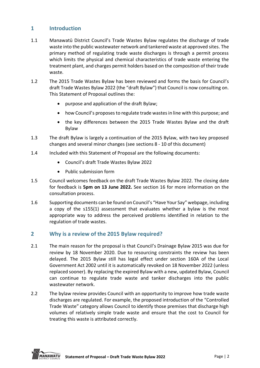# <span id="page-2-0"></span>**1 Introduction**

- 1.1 Manawatū District Council's Trade Wastes Bylaw regulates the discharge of trade waste into the public wastewater network and tankered waste at approved sites. The primary method of regulating trade waste discharges is through a permit process which limits the physical and chemical characteristics of trade waste entering the treatment plant, and charges permit holders based on the composition of their trade waste.
- 1.2 The 2015 Trade Wastes Bylaw has been reviewed and forms the basis for Council's draft Trade Wastes Bylaw 2022 (the "draft Bylaw") that Council is now consulting on. This Statement of Proposal outlines the:
	- purpose and application of the draft Bylaw;
	- how Council's proposes to regulate trade wastes in line with this purpose; and
	- the key differences between the 2015 Trade Wastes Bylaw and the draft Bylaw
- 1.3 The draft Bylaw is largely a continuation of the 2015 Bylaw, with two key proposed changes and several minor changes (see sections 8 - 10 of this document)
- 1.4 Included with this Statement of Proposal are the following documents:
	- Council's draft Trade Wastes Bylaw 2022
	- Public submission form
- 1.5 Council welcomes feedback on the draft Trade Wastes Bylaw 2022. The closing date for feedback is **5pm on 13 June 2022.** See section 16 for more information on the consultation process.
- 1.6 Supporting documents can be found on Council's "Have Your Say" webpage, including a copy of the s155(1) assessment that evaluates whether a bylaw is the most appropriate way to address the perceived problems identified in relation to the regulation of trade wastes.

# <span id="page-2-1"></span>**2 Why is a review of the 2015 Bylaw required?**

- 2.1 The main reason for the proposal is that Council's Drainage Bylaw 2015 was due for review by 18 November 2020. Due to resourcing constraints the review has been delayed. The 2015 Bylaw still has legal effect under section 160A of the Local Government Act 2002 until it is automatically revoked on 18 November 2022 (unless replaced sooner). By replacing the expired Bylaw with a new, updated Bylaw, Council can continue to regulate trade waste and tanker discharges into the public wastewater network.
- 2.2 The bylaw review provides Council with an opportunity to improve how trade waste discharges are regulated. For example, the proposed introduction of the "Controlled Trade Waste" category allows Council to identify those premises that discharge high volumes of relatively simple trade waste and ensure that the cost to Council for treating this waste is attributed correctly.

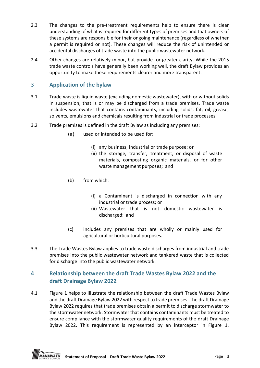- 2.3 The changes to the pre-treatment requirements help to ensure there is clear understanding of what is required for different types of premises and that owners of these systems are responsible for their ongoing maintenance (regardless of whether a permit is required or not). These changes will reduce the risk of unintended or accidental discharges of trade waste into the public wastewater network.
- 2.4 Other changes are relatively minor, but provide for greater clarity. While the 2015 trade waste controls have generally been working well, the draft Bylaw provides an opportunity to make these requirements clearer and more transparent.

# <span id="page-3-0"></span>3 **Application of the bylaw**

- 3.1 Trade waste is liquid waste (excluding domestic wastewater), with or without solids in suspension, that is or may be discharged from a trade premises. Trade waste includes wastewater that contains contaminants, including solids, fat, oil, grease, solvents, emulsions and chemicals resulting from industrial or trade processes.
- 3.2 Trade premises is defined in the draft Bylaw as including any premises:
	- (a) used or intended to be used for:
		- (i) any business, industrial or trade purpose; or
		- (ii) the storage, transfer, treatment, or disposal of waste materials, composting organic materials, or for other waste management purposes; and
	- (b) from which:
		- (i) a Contaminant is discharged in connection with any industrial or trade process; or
		- (ii) Wastewater that is not domestic wastewater is discharged; and
	- (c) includes any premises that are wholly or mainly used for agricultural or horticultural purposes.
- 3.3 The Trade Wastes Bylaw applies to trade waste discharges from industrial and trade premises into the public wastewater network and tankered waste that is collected for discharge into the public wastewater network.

# <span id="page-3-1"></span>**4 Relationship between the draft Trade Wastes Bylaw 2022 and the draft Drainage Bylaw 2022**

4.1 Figure 1 helps to illustrate the relationship between the draft Trade Wastes Bylaw and the draft Drainage Bylaw 2022 with respect to trade premises. The draft Drainage Bylaw 2022 requires that trade premises obtain a permit to discharge stormwater to the stormwater network. Stormwater that contains contaminants must be treated to ensure compliance with the stormwater quality requirements of the draft Drainage Bylaw 2022. This requirement is represented by an interceptor in Figure 1.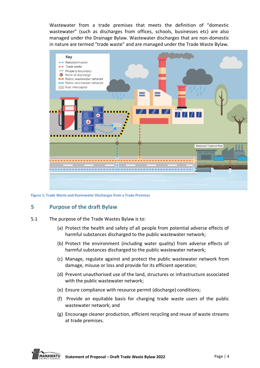Wastewater from a trade premises that meets the definition of "domestic wastewater" (such as discharges from offices, schools, businesses etc) are also managed under the Drainage Bylaw. Wastewater discharges that are non-domestic in nature are termed "trade waste" and are managed under the Trade Waste Bylaw.



**Figure 1: Trade Waste and Stormwater Discharges from a Trade Premises**

#### <span id="page-4-0"></span>**5 Purpose of the draft Bylaw**

- 5.1 The purpose of the Trade Wastes Bylaw is to:
	- (a) Protect the health and safety of all people from potential adverse effects of harmful substances discharged to the public wastewater network;
	- (b) Protect the environment (including water quality) from adverse effects of harmful substances discharged to the public wastewater network;
	- (c) Manage, regulate against and protect the public wastewater network from damage, misuse or loss and provide for its efficient operation;
	- (d) Prevent unauthorised use of the land, structures or infrastructure associated with the public wastewater network;
	- (e) Ensure compliance with resource permit (discharge) conditions;
	- (f) Provide an equitable basis for charging trade waste users of the public wastewater network; and
	- (g) Encourage cleaner production, efficient recycling and reuse of waste streams at trade premises.

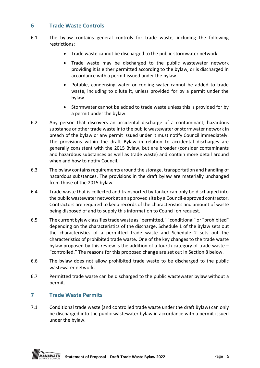# <span id="page-5-0"></span>**6 Trade Waste Controls**

- 6.1 The bylaw contains general controls for trade waste, including the following restrictions:
	- Trade waste cannot be discharged to the public stormwater network
	- Trade waste may be discharged to the public wastewater network providing it is either permitted according to the bylaw, or is discharged in accordance with a permit issued under the bylaw
	- Potable, condensing water or cooling water cannot be added to trade waste, including to dilute it, unless provided for by a permit under the bylaw
	- Stormwater cannot be added to trade waste unless this is provided for by a permit under the bylaw.
- 6.2 Any person that discovers an accidental discharge of a contaminant, hazardous substance or other trade waste into the public wastewater or stormwater network in breach of the bylaw or any permit issued under it must notify Council immediately. The provisions within the draft Bylaw in relation to accidental discharges are generally consistent with the 2015 Bylaw, but are broader (consider contaminants and hazardous substances as well as trade waste) and contain more detail around when and how to notify Council.
- 6.3 The bylaw contains requirements around the storage, transportation and handling of hazardous substances. The provisions in the draft bylaw are materially unchanged from those of the 2015 bylaw.
- 6.4 Trade waste that is collected and transported by tanker can only be discharged into the public wastewater network at an approved site by a Council-approved contractor. Contractors are required to keep records of the characteristics and amount of waste being disposed of and to supply this information to Council on request.
- 6.5 The current bylaw classifies trade waste as "permitted," "conditional" or "prohibited" depending on the characteristics of the discharge. Schedule 1 of the Bylaw sets out the characteristics of a permitted trade waste and Schedule 2 sets out the characteristics of prohibited trade waste. One of the key changes to the trade waste bylaw proposed by this review is the addition of a fourth category of trade waste – "controlled." The reasons for this proposed change are set out in Section 8 below.
- 6.6 The bylaw does not allow prohibited trade waste to be discharged to the public wastewater network.
- 6.7 Permitted trade waste can be discharged to the public wastewater bylaw without a permit.

# <span id="page-5-1"></span>**7 Trade Waste Permits**

7.1 Conditional trade waste (and controlled trade waste under the draft Bylaw) can only be discharged into the public wastewater bylaw in accordance with a permit issued under the bylaw.

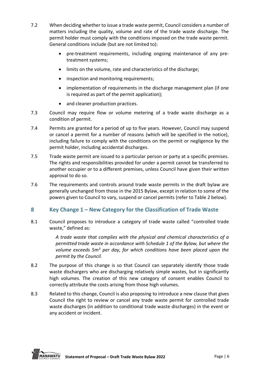- 7.2 When deciding whether to issue a trade waste permit, Council considers a number of matters including the quality, volume and rate of the trade waste discharge. The permit holder must comply with the conditions imposed on the trade waste permit. General conditions include (but are not limited to):
	- pre-treatment requirements, including ongoing maintenance of any pretreatment systems;
	- limits on the volume, rate and characteristics of the discharge;
	- inspection and monitoring requirements;
	- implementation of requirements in the discharge management plan (if one is required as part of the permit application);
	- and cleaner production practices.
- 7.3 Council may require flow or volume metering of a trade waste discharge as a condition of permit.
- 7.4 Permits are granted for a period of up to five years. However, Council may suspend or cancel a permit for a number of reasons (which will be specified in the notice), including failure to comply with the conditions on the permit or negligence by the permit holder, including accidental discharges.
- 7.5 Trade waste permit are issued to a particular person or party at a specific premises. The rights and responsibilities provided for under a permit cannot be transferred to another occupier or to a different premises, unless Council have given their written approval to do so.
- 7.6 The requirements and controls around trade waste permits in the draft bylaw are generally unchanged from those in the 2015 Bylaw, except in relation to some of the powers given to Council to vary, suspend or cancel permits (refer to Table 2 below).

# <span id="page-6-0"></span>**8 Key Change 1 – New Category for the Classification of Trade Waste**

8.1 Council proposes to introduce a category of trade waste called "controlled trade waste," defined as:

> *A trade waste that complies with the physical and chemical characteristics of a permitted trade waste in accordance with Schedule 1 of the Bylaw, but where the volume exceeds 5m<sup>3</sup> per day, for which conditions have been placed upon the permit by the Council.*

- 8.2 The purpose of this change is so that Council can separately identify those trade waste dischargers who are discharging relatively simple wastes, but in significantly high volumes. The creation of this new category of consent enables Council to correctly attribute the costs arising from those high volumes.
- 8.3 Related to this change, Council is also proposing to introduce a new clause that gives Council the right to review or cancel any trade waste permit for controlled trade waste discharges (in addition to conditional trade waste discharges) in the event or any accident or incident.

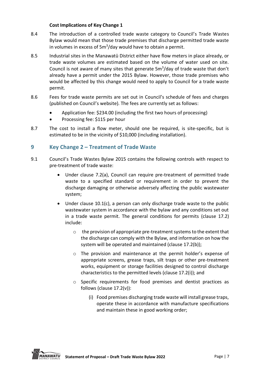#### **Cost Implications of Key Change 1**

- 8.4 The introduction of a controlled trade waste category to Council's Trade Wastes Bylaw would mean that those trade premises that discharge permitted trade waste in volumes in excess of 5m<sup>3</sup>/day would have to obtain a permit.
- 8.5 Industrial sites in the Manawatū District either have flow meters in place already, or trade waste volumes are estimated based on the volume of water used on site. Council is not aware of many sites that generate  $5m<sup>3</sup>/day$  of trade waste that don't already have a permit under the 2015 Bylaw. However, those trade premises who would be affected by this change would need to apply to Council for a trade waste permit.
- 8.6 Fees for trade waste permits are set out in Council's schedule of fees and charges (published on Council's website). The fees are currently set as follows:
	- Application fee: \$234.00 (including the first two hours of processing)
	- Processing fee: \$115 per hour
- 8.7 The cost to install a flow meter, should one be required, is site-specific, but is estimated to be in the vicinity of \$10,000 (including installation).

# <span id="page-7-0"></span>**9 Key Change 2 – Treatment of Trade Waste**

- 9.1 Council's Trade Wastes Bylaw 2015 contains the following controls with respect to pre-treatment of trade waste:
	- Under clause 7.2(a), Council can require pre-treatment of permitted trade waste to a specified standard or requirement in order to prevent the discharge damaging or otherwise adversely affecting the public wastewater system;
	- Under clause 10.1(c), a person can only discharge trade waste to the public wastewater system in accordance with the bylaw and any conditions set out in a trade waste permit. The general conditions for permits (clause 17.2) include:
		- o the provision of appropriate pre-treatment systems to the extent that the discharge can comply with the Bylaw, and information on how the system will be operated and maintained (clause 17.2(b));
		- o The provision and maintenance at the permit holder's expense of appropriate screens, grease traps, silt traps or other pre-treatment works, equipment or storage facilities designed to control discharge characteristics to the permitted levels (clause 17.2(i)); and
		- o Specific requirements for food premises and dentist practices as follows (clause 17.2(v)):
			- (i) Food premises discharging trade waste will install grease traps, operate these in accordance with manufacture specifications and maintain these in good working order;

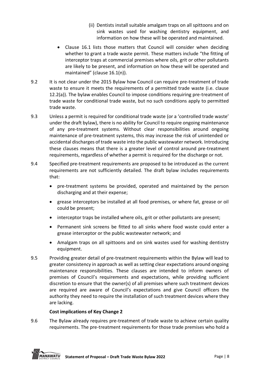- (ii) Dentists install suitable amalgam traps on all spittoons and on sink wastes used for washing dentistry equipment, and information on how these will be operated and maintained.
- Clause 16.1 lists those matters that Council will consider when deciding whether to grant a trade waste permit. These matters include "the fitting of interceptor traps at commercial premises where oils, grit or other pollutants are likely to be present, and information on how these will be operated and maintained" (clause 16.1(n)).
- 9.2 It is not clear under the 2015 Bylaw how Council can require pre-treatment of trade waste to ensure it meets the requirements of a permitted trade waste (i.e. clause 12.2(a)). The bylaw enables Council to impose conditions requiring pre-treatment of trade waste for conditional trade waste, but no such conditions apply to permitted trade waste.
- 9.3 Unless a permit is required for conditional trade waste (or a 'controlled trade waste' under the draft bylaw), there is no ability for Council to require ongoing maintenance of any pre-treatment systems. Without clear responsibilities around ongoing maintenance of pre-treatment systems, this may increase the risk of unintended or accidental discharges of trade waste into the public wastewater network. Introducing these clauses means that there is a greater level of control around pre-treatment requirements, regardless of whether a permit is required for the discharge or not.
- 9.4 Specified pre-treatment requirements are proposed to be introduced as the current requirements are not sufficiently detailed. The draft bylaw includes requirements that:
	- pre-treatment systems be provided, operated and maintained by the person discharging and at their expense;
	- grease interceptors be installed at all food premises, or where fat, grease or oil could be present;
	- interceptor traps be installed where oils, grit or other pollutants are present;
	- Permanent sink screens be fitted to all sinks where food waste could enter a grease interceptor or the public wastewater network; and
	- Amalgam traps on all spittoons and on sink wastes used for washing dentistry equipment.
- 9.5 Providing greater detail of pre-treatment requirements within the Bylaw will lead to greater consistency in approach as well as setting clear expectations around ongoing maintenance responsibilities. These clauses are intended to inform owners of premises of Council's requirements and expectations, while providing sufficient discretion to ensure that the owner(s) of all premises where such treatment devices are required are aware of Council's expectations and give Council officers the authority they need to require the installation of such treatment devices where they are lacking.

#### **Cost implications of Key Change 2**

9.6 The Bylaw already requires pre-treatment of trade waste to achieve certain quality requirements. The pre-treatment requirements for those trade premises who hold a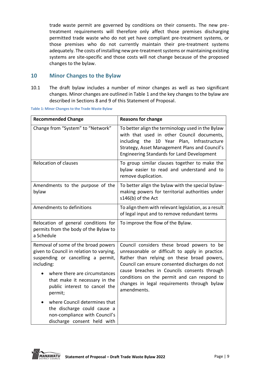trade waste permit are governed by conditions on their consents. The new pretreatment requirements will therefore only affect those premises discharging permitted trade waste who do not yet have compliant pre-treatment systems, or those premises who do not currently maintain their pre-treatment systems adequately. The costs of installing new pre-treatment systems or maintaining existing systems are site-specific and those costs will not change because of the proposed changes to the bylaw.

### <span id="page-9-0"></span>**10 Minor Changes to the Bylaw**

10.1 The draft bylaw includes a number of minor changes as well as two significant changes. Minor changes are outlined in Table 1 and the key changes to the bylaw are described in Sections 8 and 9 of this Statement of Proposal.

| <b>Recommended Change</b>                                                                                                                                                                                                                                                                                                                                                         | <b>Reasons for change</b>                                                                                                                                                                                                                                                                                                                                 |
|-----------------------------------------------------------------------------------------------------------------------------------------------------------------------------------------------------------------------------------------------------------------------------------------------------------------------------------------------------------------------------------|-----------------------------------------------------------------------------------------------------------------------------------------------------------------------------------------------------------------------------------------------------------------------------------------------------------------------------------------------------------|
| Change from "System" to "Network"                                                                                                                                                                                                                                                                                                                                                 | To better align the terminology used in the Bylaw<br>with that used in other Council documents,<br>including the 10 Year Plan, Infrastructure<br>Strategy, Asset Management Plans and Council's<br><b>Engineering Standards for Land Development</b>                                                                                                      |
| <b>Relocation of clauses</b>                                                                                                                                                                                                                                                                                                                                                      | To group similar clauses together to make the<br>bylaw easier to read and understand and to<br>remove duplication.                                                                                                                                                                                                                                        |
| Amendments to the purpose of the<br>bylaw                                                                                                                                                                                                                                                                                                                                         | To better align the bylaw with the special bylaw-<br>making powers for territorial authorities under<br>s146(b) of the Act                                                                                                                                                                                                                                |
| Amendments to definitions                                                                                                                                                                                                                                                                                                                                                         | To align them with relevant legislation, as a result<br>of legal input and to remove redundant terms                                                                                                                                                                                                                                                      |
| Relocation of general conditions for<br>permits from the body of the Bylaw to<br>a Schedule                                                                                                                                                                                                                                                                                       | To improve the flow of the Bylaw.                                                                                                                                                                                                                                                                                                                         |
| Removal of some of the broad powers<br>given to Council in relation to varying,<br>suspending or cancelling a permit,<br>including:<br>where there are circumstances<br>that make it necessary in the<br>public interest to cancel the<br>permit;<br>where Council determines that<br>the discharge could cause a<br>non-compliance with Council's<br>discharge consent held with | Council considers these broad powers to be<br>unreasonable or difficult to apply in practice.<br>Rather than relying on these broad powers,<br>Council can ensure consented discharges do not<br>cause breaches in Councils consents through<br>conditions on the permit and can respond to<br>changes in legal requirements through bylaw<br>amendments. |

**Table 1: Minor Changes to the Trade Waste Bylaw**

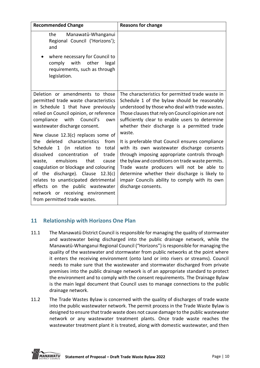| <b>Recommended Change</b>                                                                                                                                                                                                                                                                                                                                                                                                                                                                                                                                                                          | <b>Reasons for change</b>                                                                                                                                                                                                                                                                                                                                                                                                                                                                                                                                                                                                                                                                             |
|----------------------------------------------------------------------------------------------------------------------------------------------------------------------------------------------------------------------------------------------------------------------------------------------------------------------------------------------------------------------------------------------------------------------------------------------------------------------------------------------------------------------------------------------------------------------------------------------------|-------------------------------------------------------------------------------------------------------------------------------------------------------------------------------------------------------------------------------------------------------------------------------------------------------------------------------------------------------------------------------------------------------------------------------------------------------------------------------------------------------------------------------------------------------------------------------------------------------------------------------------------------------------------------------------------------------|
| the<br>Manawatū-Whanganui<br>Regional Council ('Horizons');<br>and                                                                                                                                                                                                                                                                                                                                                                                                                                                                                                                                 |                                                                                                                                                                                                                                                                                                                                                                                                                                                                                                                                                                                                                                                                                                       |
| where necessary for Council to<br>comply with<br>other<br>legal<br>requirements, such as through<br>legislation.                                                                                                                                                                                                                                                                                                                                                                                                                                                                                   |                                                                                                                                                                                                                                                                                                                                                                                                                                                                                                                                                                                                                                                                                                       |
| Deletion or amendments to those<br>permitted trade waste characteristics<br>in Schedule 1 that have previously<br>relied on Council opinion, or reference<br>compliance<br>with Council's<br>own<br>wastewater discharge consent.<br>New clause 12.3(c) replaces some of<br>deleted characteristics<br>from<br>the<br>Schedule 1 (in relation to<br>total<br>dissolved concentration of<br>trade<br>emulsions<br>that<br>waste,<br>cause<br>coagulation or blockage and colouring<br>of the discharge). Clause 12.3(c)<br>relates to unanticipated detrimental<br>effects on the public wastewater | The characteristics for permitted trade waste in<br>Schedule 1 of the bylaw should be reasonably<br>understood by those who deal with trade wastes.<br>Those clauses that rely on Council opinion are not<br>sufficiently clear to enable users to determine<br>whether their discharge is a permitted trade<br>waste.<br>It is preferable that Council ensures compliance<br>with its own wastewater discharge consents<br>through imposing appropriate controls through<br>the bylaw and conditions on trade waste permits.<br>Trade waste producers will not be able to<br>determine whether their discharge is likely to<br>impair Councils ability to comply with its own<br>discharge consents. |
| network or receiving environment<br>from permitted trade wastes.                                                                                                                                                                                                                                                                                                                                                                                                                                                                                                                                   |                                                                                                                                                                                                                                                                                                                                                                                                                                                                                                                                                                                                                                                                                                       |

# <span id="page-10-0"></span>**11 Relationship with Horizons One Plan**

- 11.1 The Manawatū District Council is responsible for managing the quality of stormwater and wastewater being discharged into the public drainage network, while the Manawatū-Whanganui Regional Council ("Horizons") is responsible for managing the quality of the wastewater and stormwater from public networks at the point where it enters the receiving environment (onto land or into rivers or streams). Council needs to make sure that the wastewater and stormwater discharged from private premises into the public drainage network is of an appropriate standard to protect the environment and to comply with the consent requirements. The Drainage Bylaw is the main legal document that Council uses to manage connections to the public drainage network.
- 11.2 The Trade Wastes Bylaw is concerned with the quality of discharges of trade waste into the public wastewater network. The permit process in the Trade Waste Bylaw is designed to ensure that trade waste does not cause damage to the public wastewater network or any wastewater treatment plants. Once trade waste reaches the wastewater treatment plant it is treated, along with domestic wastewater, and then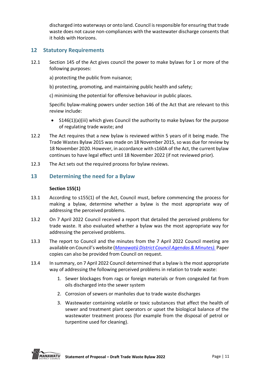discharged into waterways or onto land. Council is responsible for ensuring that trade waste does not cause non-compliances with the wastewater discharge consents that it holds with Horizons.

# <span id="page-11-0"></span>**12 Statutory Requirements**

- 12.1 Section 145 of the Act gives council the power to make bylaws for 1 or more of the following purposes:
	- a) protecting the public from nuisance;
	- b) protecting, promoting, and maintaining public health and safety;
	- c) minimising the potential for offensive behaviour in public places.

Specific bylaw-making powers under section 146 of the Act that are relevant to this review include:

- S146(1)(a)(iii) which gives Council the authority to make bylaws for the purpose of regulating trade waste; and
- 12.2 The Act requires that a new bylaw is reviewed within 5 years of it being made. The Trade Wastes Bylaw 2015 was made on 18 November 2015, so was due for review by 18 November 2020. However, in accordance with s160A of the Act, the current bylaw continues to have legal effect until 18 November 2022 (if not reviewed prior).
- 12.3 The Act sets out the required process for bylaw reviews.

# <span id="page-11-1"></span>**13 Determining the need for a Bylaw**

#### **Section 155(1)**

- 13.1 According to s155(1) of the Act, Council must, before commencing the process for making a bylaw, determine whether a bylaw is the most appropriate way of addressing the perceived problems.
- 13.2 On 7 April 2022 Council received a report that detailed the perceived problems for trade waste. It also evaluated whether a bylaw was the most appropriate way for addressing the perceived problems.
- 13.3 The report to Council and the minutes from the 7 April 2022 Council meeting are available on Council's website (*Manawatū [District Council Agendas & Minutes\).](https://www.mdc.govt.nz/about-council/meetings-agendas-and-minutes/council-and-committee-agendas-and-minutes/manawatu-district-council)* Paper copies can also be provided from Council on request.
- 13.4 In summary, on 7 April 2022 Council determined that a bylaw is the most appropriate way of addressing the following perceived problems in relation to trade waste:
	- 1. Sewer blockages from rags or foreign materials or from congealed fat from oils discharged into the sewer system
	- 2. Corrosion of sewers or manholes due to trade waste discharges
	- 3. Wastewater containing volatile or toxic substances that affect the health of sewer and treatment plant operators or upset the biological balance of the wastewater treatment process (for example from the disposal of petrol or turpentine used for cleaning).

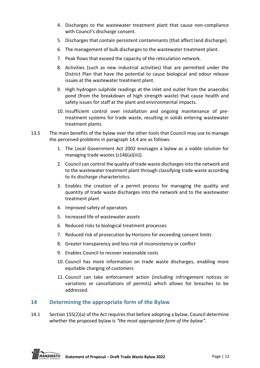- 4. Discharges to the wastewater treatment plant that cause non-compliance with Council's discharge consent.
- 5. Discharges that contain persistent contaminants (that affect land discharge).
- 6. The management of bulk discharges to the wastewater treatment plant.
- 7. Peak flows that exceed the capacity of the reticulation network.
- 8. Activities (such as new industrial activities) that are permitted under the District Plan that have the potential to cause biological and odour release issues at the wastewater treatment plant.
- 9. High hydrogen sulphide readings at the inlet and outlet from the anaerobic pond (from the breakdown of high strength waste) that cause health and safety issues for staff at the plant and environmental impacts.
- 10. Insufficient control over installation and ongoing maintenance of pretreatment systems for trade waste, resulting in solids entering wastewater treatment plants.
- 13.5 The main benefits of the bylaw over the other tools that Council may use to manage the perceived problems in paragraph 14.4 are as follows:
	- 1. The Local Government Act 2002 envisages a bylaw as a viable solution for managing trade wastes (s146(a)(iii)).
	- 2. Council can control the quality of trade waste discharges into the network and to the wastewater treatment plant through classifying trade waste according to its discharge characteristics.
	- 3. Enables the creation of a permit process for managing the quality and quantity of trade waste discharges into the network and to the wastewater treatment plant
	- 4. Improved safety of operators
	- 5. Increased life of wastewater assets
	- 6. Reduced risks to biological treatment processes
	- 7. Reduced risk of prosecution by Horizons for exceeding consent limits
	- 8. Greater transparency and less risk of inconsistency or conflict
	- 9. Enables Council to recover reasonable costs
	- 10. Council has more information on trade waste discharges, enabling more equitable charging of customers
	- 11. Council can take enforcement action (including infringement notices or variations or cancellations of permits) which allows for breaches to be addressed.

# <span id="page-12-0"></span>**14 Determining the appropriate form of the Bylaw**

14.1 Section 155(2)(a) of the Act requires that before adopting a bylaw, Council determine whether the proposed bylaw is *"the most appropriate form of the bylaw".*

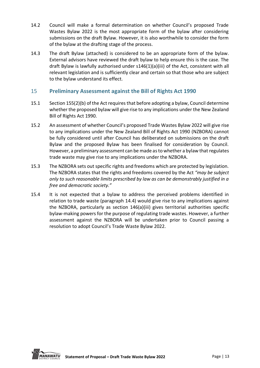- 14.2 Council will make a formal determination on whether Council's proposed Trade Wastes Bylaw 2022 is the most appropriate form of the bylaw after considering submissions on the draft Bylaw. However, it is also worthwhile to consider the form of the bylaw at the drafting stage of the process.
- 14.3 The draft Bylaw (attached) is considered to be an appropriate form of the bylaw. External advisors have reviewed the draft bylaw to help ensure this is the case. The draft Bylaw is lawfully authorised under s146(1)(a)(iii) of the Act, consistent with all relevant legislation and is sufficiently clear and certain so that those who are subject to the bylaw understand its effect.

# <span id="page-13-0"></span>15 **Preliminary Assessment against the Bill of Rights Act 1990**

- 15.1 Section 155(2)(b) of the Act requires that before adopting a bylaw, Council determine whether the proposed bylaw will give rise to any implications under the New Zealand Bill of Rights Act 1990.
- 15.2 An assessment of whether Council's proposed Trade Wastes Bylaw 2022 will give rise to any implications under the New Zealand Bill of Rights Act 1990 (NZBORA) cannot be fully considered until after Council has deliberated on submissions on the draft Bylaw and the proposed Bylaw has been finalised for consideration by Council. However, a preliminary assessment can be made as to whether a bylaw that regulates trade waste may give rise to any implications under the NZBORA.
- 15.3 The NZBORA sets out specific rights and freedoms which are protected by legislation. The NZBORA states that the rights and freedoms covered by the Act *"may be subject only to such reasonable limits prescribed by law as can be demonstrably justified in a free and democratic society."*
- 15.4 It is not expected that a bylaw to address the perceived problems identified in relation to trade waste (paragraph 14.4) would give rise to any implications against the NZBORA, particularly as section 146(a)(iii) gives territorial authorities specific bylaw-making powers for the purpose of regulating trade wastes. However, a further assessment against the NZBORA will be undertaken prior to Council passing a resolution to adopt Council's Trade Waste Bylaw 2022.